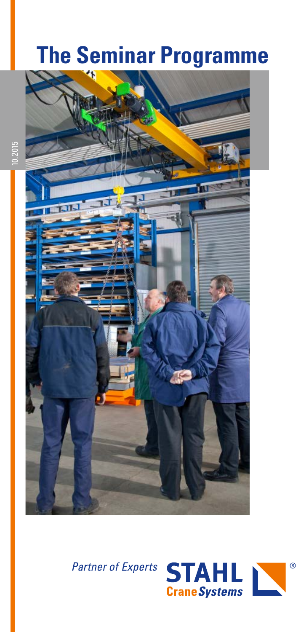# **The Seminar Programme**





10.2015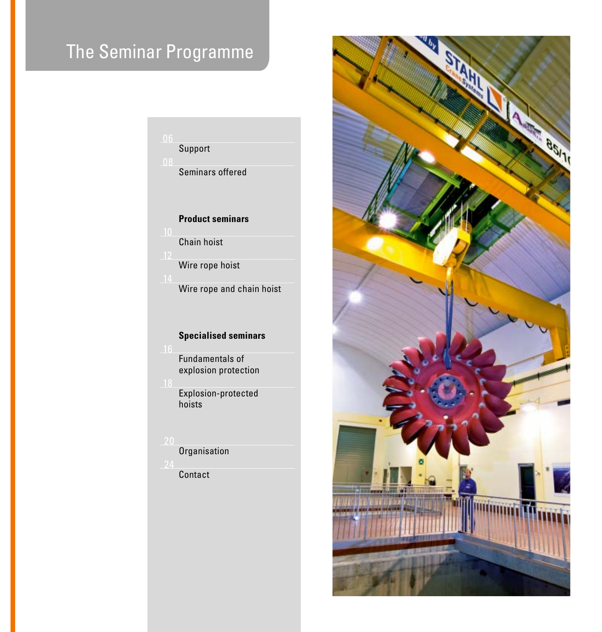# The Seminar Programme

### Support

Seminars offered

#### **Product seminars**

Chain hoist

Wire rope hoist

Wire rope and chain hoist

#### **Specialised seminars**

Fundamentals of explosion protection

Explosion-protected hoists

**Organisation** 

**Contact** 

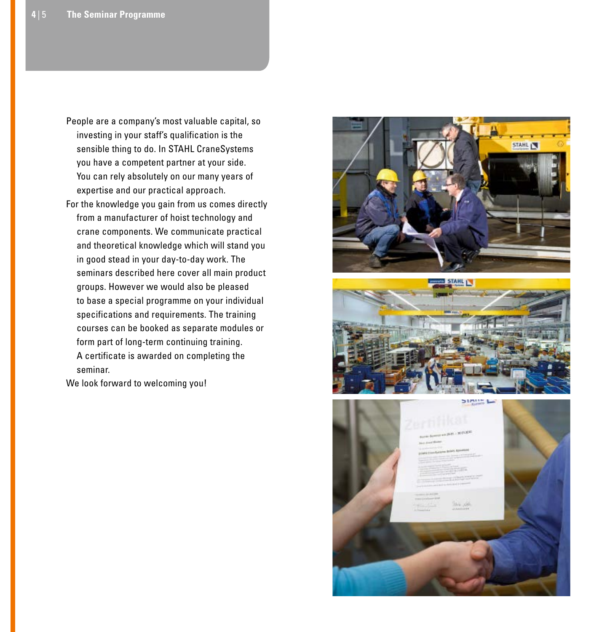- People are a company's most valuable capital, so investing in your staff's qualification is the sensible thing to do. In STAHL CraneSystems you have a competent partner at your side. You can rely absolutely on our many years of expertise and our practical approach.
- For the knowledge you gain from us comes directly from a manufacturer of hoist technology and crane components. We communicate practical and theoretical knowledge which will stand you in good stead in your day-to-day work. The seminars described here cover all main product groups. However we would also be pleased to base a special programme on your individual specifications and requirements. The training courses can be booked as separate modules or form part of long-term continuing training. A certificate is awarded on completing the seminar.

We look forward to welcoming you!





**STATIST**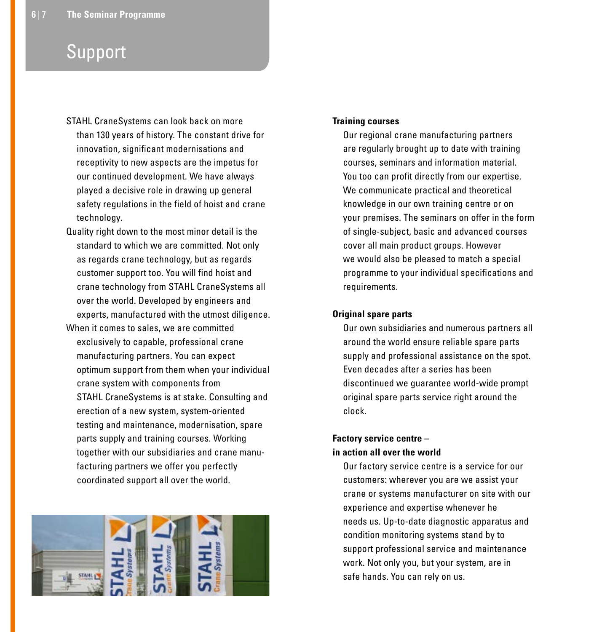### Support

- STAHL CraneSystems can look back on more than 130 years of history. The constant drive for innovation, significant modernisations and receptivity to new aspects are the impetus for our continued development. We have always played a decisive role in drawing up general safety regulations in the field of hoist and crane technology.
- Quality right down to the most minor detail is the standard to which we are committed. Not only as regards crane technology, but as regards customer support too. You will find hoist and crane technology from STAHL CraneSystems all over the world. Developed by engineers and experts, manufactured with the utmost diligence.
- When it comes to sales, we are committed exclusively to capable, professional crane manufacturing partners. You can expect optimum support from them when your individual crane system with components from STAHL CraneSystems is at stake. Consulting and erection of a new system, system-oriented testing and maintenance, modernisation, spare parts supply and training courses. Working together with our subsidiaries and crane manufacturing partners we offer you perfectly coordinated support all over the world.



#### **Training courses**

Our regional crane manufacturing partners are regularly brought up to date with training courses, seminars and information material. You too can profit directly from our expertise. We communicate practical and theoretical knowledge in our own training centre or on your premises. The seminars on offer in the form of single-subject, basic and advanced courses cover all main product groups. However we would also be pleased to match a special programme to your individual specifications and requirements.

#### **Original spare parts**

Our own subsidiaries and numerous partners all around the world ensure reliable spare parts supply and professional assistance on the spot. Even decades after a series has been discontinued we guarantee world-wide prompt original spare parts service right around the clock.

#### **Factory service centre – in action all over the world**

Our factory service centre is a service for our customers: wherever you are we assist your crane or systems manufacturer on site with our experience and expertise whenever he needs us. Up-to-date diagnostic apparatus and condition monitoring systems stand by to support professional service and maintenance work. Not only you, but your system, are in safe hands. You can rely on us.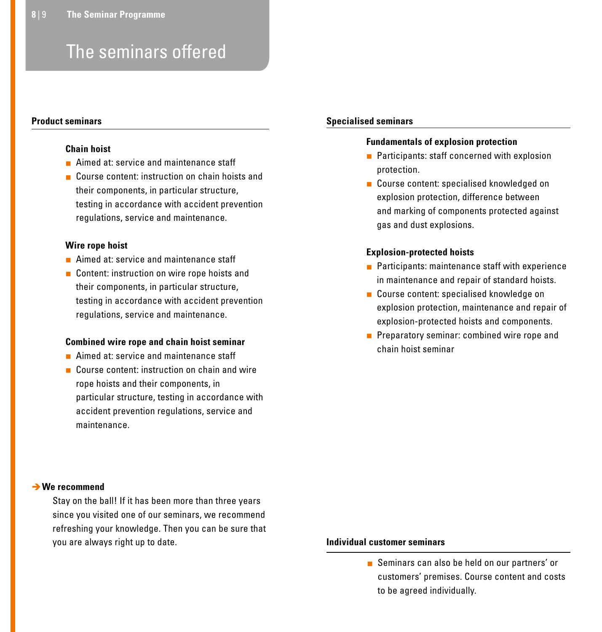### The seminars offered

#### **Product seminars**

#### **Chain hoist**

- **Aimed at: service and maintenance staff**
- **Course content: instruction on chain hoists and** their components, in particular structure, testing in accordance with accident prevention regulations, service and maintenance.

#### **Wire rope hoist**

- **Aimed at: service and maintenance staff**
- Content: instruction on wire rope hoists and their components, in particular structure, testing in accordance with accident prevention regulations, service and maintenance.

#### **Combined wire rope and chain hoist seminar**

- Aimed at: service and maintenance staff
- Course content: instruction on chain and wire rope hoists and their components, in particular structure, testing in accordance with accident prevention regulations, service and maintenance.

#### **We recommend**

Stay on the ball! If it has been more than three years since you visited one of our seminars, we recommend refreshing your knowledge. Then you can be sure that you are always right up to date. **Individual customer seminars** 

#### **Specialised seminars**

#### **Fundamentals of explosion protection**

- **Participants: staff concerned with explosion** protection.
- Course content: specialised knowledged on explosion protection, difference between and marking of components protected against gas and dust explosions.

#### **Explosion-protected hoists**

- $\blacksquare$  Participants: maintenance staff with experience in maintenance and repair of standard hoists.
- Course content: specialised knowledge on explosion protection, maintenance and repair of explosion-protected hoists and components.
- **Preparatory seminar: combined wire rope and** chain hoist seminar

Seminars can also be held on our partners' or customers' premises. Course content and costs to be agreed individually.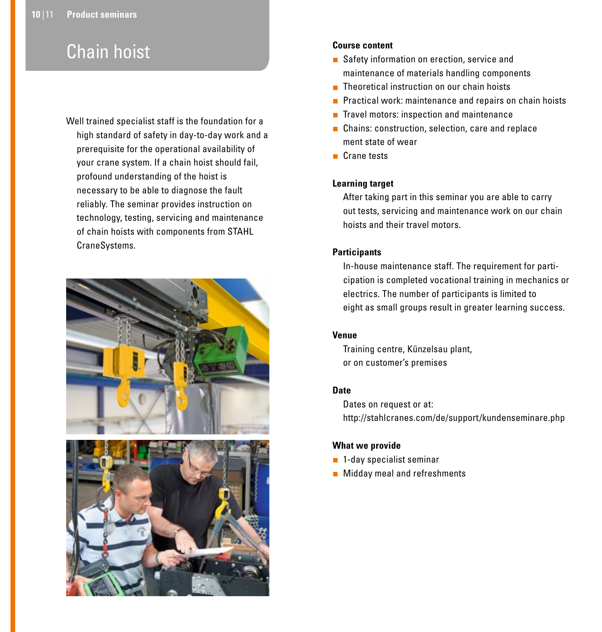## Chain hoist

Well trained specialist staff is the foundation for a high standard of safety in day-to-day work and a prerequisite for the operational availability of your crane system. If a chain hoist should fail, profound understanding of the hoist is necessary to be able to diagnose the fault reliably. The seminar provides instruction on technology, testing, servicing and maintenance of chain hoists with components from STAHL CraneSystems.





#### **Course content**

- Safety information on erection, service and maintenance of materials handling components
- **Theoretical instruction on our chain hoists**
- **Practical work: maintenance and repairs on chain hoists**
- $\blacksquare$  Travel motors: inspection and maintenance
- **Chains: construction, selection, care and replace** ment state of wear
- **Crane tests**

#### **Learning target**

After taking part in this seminar you are able to carry out tests, servicing and maintenance work on our chain hoists and their travel motors.

#### **Participants**

In-house maintenance staff. The requirement for participation is completed vocational training in mechanics or electrics. The number of participants is limited to eight as small groups result in greater learning success.

#### **Venue**

Training centre, Künzelsau plant, or on customer's premises

#### **Date**

Dates on request or at: http://stahlcranes.com/de/support/kundenseminare.php

#### **What we provide**

- **1-day specialist seminar**
- **Midday meal and refreshments**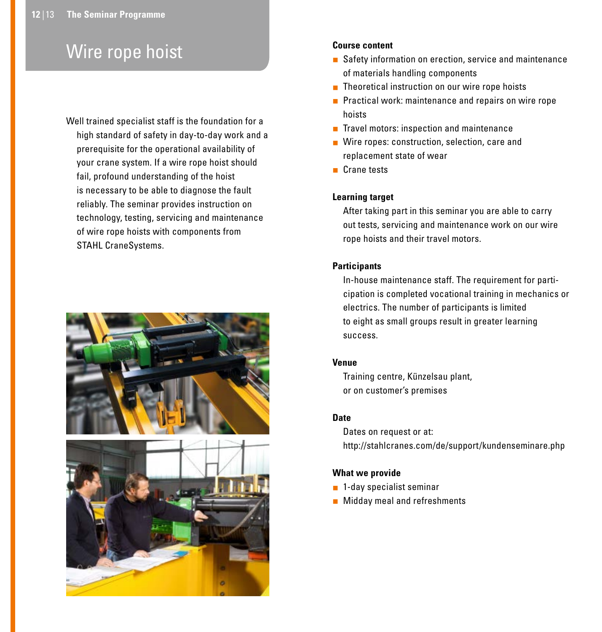## Wire rope hoist

Well trained specialist staff is the foundation for a high standard of safety in day-to-day work and a prerequisite for the operational availability of your crane system. If a wire rope hoist should fail, profound understanding of the hoist is necessary to be able to diagnose the fault reliably. The seminar provides instruction on technology, testing, servicing and maintenance of wire rope hoists with components from STAHL CraneSystems.



#### **Course content**

- Safety information on erection, service and maintenance of materials handling components
- Theoretical instruction on our wire rope hoists
- **Practical work: maintenance and repairs on wire rope** hoists
- $\blacksquare$  Travel motors: inspection and maintenance
- Wire ropes: construction, selection, care and replacement state of wear
- **Crane tests**

#### **Learning target**

After taking part in this seminar you are able to carry out tests, servicing and maintenance work on our wire rope hoists and their travel motors.

#### **Participants**

In-house maintenance staff. The requirement for participation is completed vocational training in mechanics or electrics. The number of participants is limited to eight as small groups result in greater learning success.

#### **Venue**

Training centre, Künzelsau plant, or on customer's premises

#### **Date**

Dates on request or at: http://stahlcranes.com/de/support/kundenseminare.php

#### **What we provide**

- **1-day specialist seminar**
- **Midday meal and refreshments**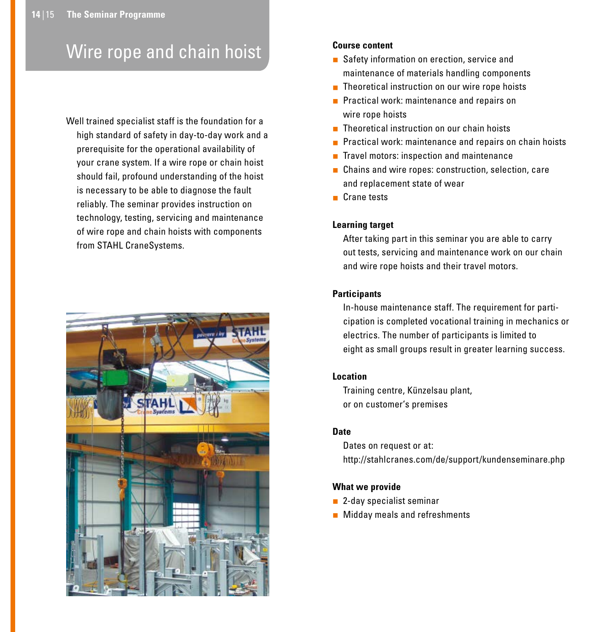## Wire rope and chain hoist

Well trained specialist staff is the foundation for a high standard of safety in day-to-day work and a prerequisite for the operational availability of your crane system. If a wire rope or chain hoist should fail, profound understanding of the hoist is necessary to be able to diagnose the fault reliably. The seminar provides instruction on technology, testing, servicing and maintenance of wire rope and chain hoists with components from STAHL CraneSystems.



#### **Course content**

- Safety information on erection, service and maintenance of materials handling components
- **Theoretical instruction on our wire rope hoists**
- **Practical work: maintenance and repairs on** wire rope hoists
- **Theoretical instruction on our chain hoists**
- **Practical work: maintenance and repairs on chain hoists**
- $\blacksquare$  Travel motors: inspection and maintenance
- Chains and wire ropes: construction, selection, care and replacement state of wear
- Crane tests

#### **Learning target**

After taking part in this seminar you are able to carry out tests, servicing and maintenance work on our chain and wire rope hoists and their travel motors.

#### **Participants**

In-house maintenance staff. The requirement for participation is completed vocational training in mechanics or electrics. The number of participants is limited to eight as small groups result in greater learning success.

#### **Location**

Training centre, Künzelsau plant, or on customer's premises

#### **Date**

Dates on request or at: http://stahlcranes.com/de/support/kundenseminare.php

#### **What we provide**

- **2-day specialist seminar**
- **Midday meals and refreshments**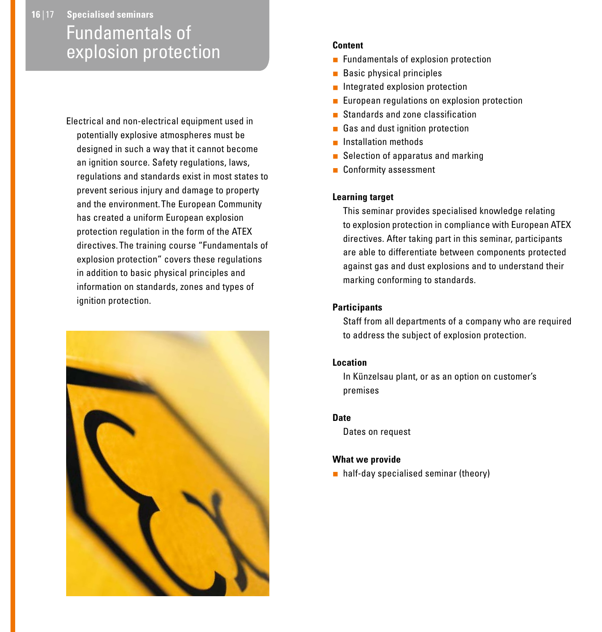### **16** | 17 **Specialised seminars** Fundamentals of explosion protection

Electrical and non-electrical equipment used in potentially explosive atmospheres must be designed in such a way that it cannot become an ignition source. Safety regulations, laws, regulations and standards exist in most states to prevent serious injury and damage to property and the environment. The European Community has created a uniform European explosion protection regulation in the form of the ATEX directives. The training course "Fundamentals of explosion protection" covers these regulations in addition to basic physical principles and information on standards, zones and types of ignition protection.



#### **Content**

- **Fundamentals of explosion protection**
- **Basic physical principles**
- **Integrated explosion protection**
- **European regulations on explosion protection**
- Standards and zone classification
- Gas and dust ignition protection
- **Installation methods**
- $\blacksquare$  Selection of apparatus and marking
- **Conformity assessment**

#### **Learning target**

This seminar provides specialised knowledge relating to explosion protection in compliance with European ATEX directives. After taking part in this seminar, participants are able to differentiate between components protected against gas and dust explosions and to understand their marking conforming to standards.

#### **Participants**

Staff from all departments of a company who are required to address the subject of explosion protection.

#### **Location**

In Künzelsau plant, or as an option on customer's premises

#### **Date**

Dates on request

#### **What we provide**

half-day specialised seminar (theory)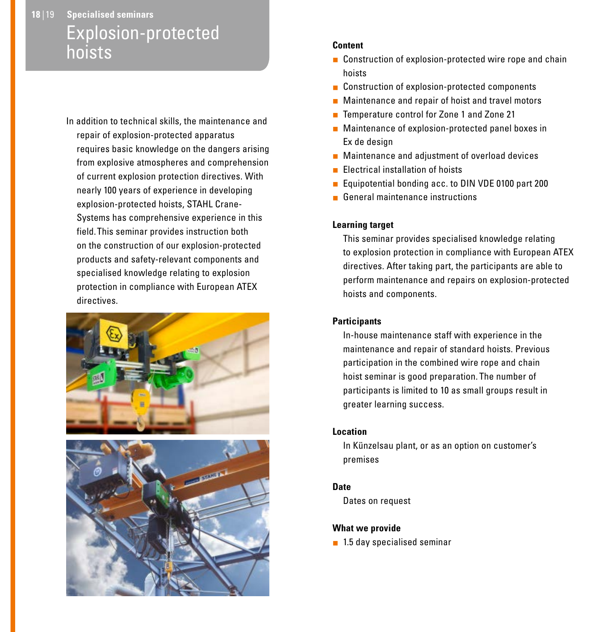### **18** | 19 **Specialised seminars** Explosion-protected hoists

In addition to technical skills, the maintenance and repair of explosion-protected apparatus requires basic knowledge on the dangers arising from explosive atmospheres and comprehension of current explosion protection directives. With nearly 100 years of experience in developing explosion-protected hoists, STAHL Crane-Systems has comprehensive experience in this field. This seminar provides instruction both on the construction of our explosion-protected products and safety-relevant components and specialised knowledge relating to explosion protection in compliance with European ATEX directives.





#### **Content**

- Construction of explosion-protected wire rope and chain hoists
- Construction of explosion-protected components
- **Maintenance and repair of hoist and travel motors**
- Temperature control for Zone 1 and Zone 21
- **Maintenance of explosion-protected panel boxes in** Ex de design
- **Maintenance and adjustment of overload devices**
- Electrical installation of hoists
- Equipotential bonding acc. to DIN VDE 0100 part 200
- General maintenance instructions

#### **Learning target**

This seminar provides specialised knowledge relating to explosion protection in compliance with European ATEX directives. After taking part, the participants are able to perform maintenance and repairs on explosion-protected hoists and components.

#### **Participants**

In-house maintenance staff with experience in the maintenance and repair of standard hoists. Previous participation in the combined wire rope and chain hoist seminar is good preparation. The number of participants is limited to 10 as small groups result in greater learning success.

#### **Location**

In Künzelsau plant, or as an option on customer's premises

#### **Date**

Dates on request

#### **What we provide**

■ 1.5 day specialised seminar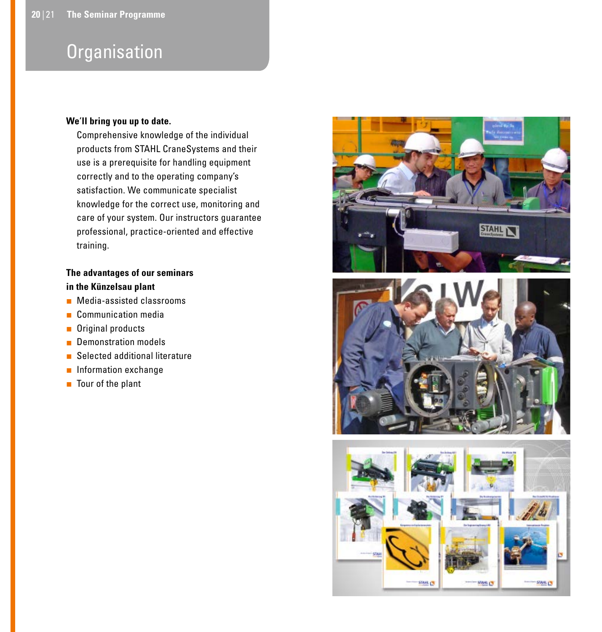### **Organisation**

#### **We**'**ll bring you up to date.**

Comprehensive knowledge of the individual products from STAHL CraneSystems and their use is a prerequisite for handling equipment correctly and to the operating company's satisfaction. We communicate specialist knowledge for the correct use, monitoring and care of your system. Our instructors guarantee professional, practice-oriented and effective training.

#### **The advantages of our seminars in the Künzelsau plant**

- **Media-assisted classrooms**
- **Communication media**
- **Driginal products**
- **Demonstration models**
- Selected additional literature
- **n** Information exchange
- Tour of the plant



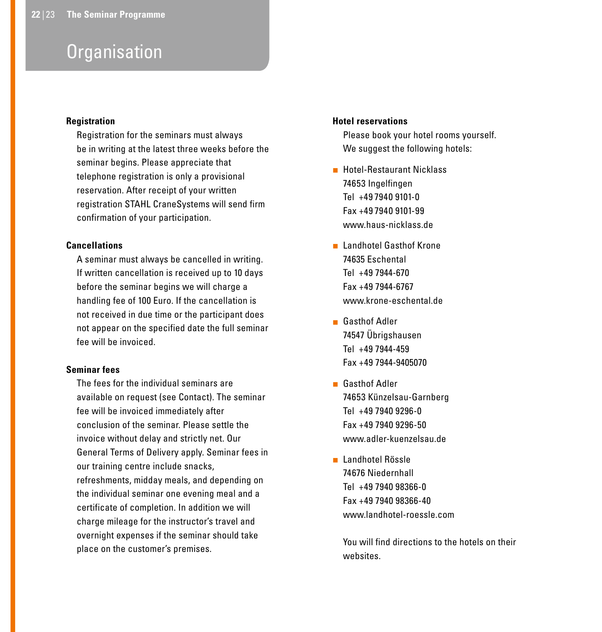### **Organisation**

#### **Registration**

Registration for the seminars must always be in writing at the latest three weeks before the seminar begins. Please appreciate that telephone registration is only a provisional reservation. After receipt of your written registration STAHL CraneSystems will send firm confirmation of your participation.

#### **Cancellations**

A seminar must always be cancelled in writing. If written cancellation is received up to 10 days before the seminar begins we will charge a handling fee of 100 Euro. If the cancellation is not received in due time or the participant does not appear on the specified date the full seminar fee will be invoiced.

#### **Seminar fees**

The fees for the individual seminars are available on request (see Contact). The seminar fee will be invoiced immediately after conclusion of the seminar. Please settle the invoice without delay and strictly net. Our General Terms of Delivery apply. Seminar fees in our training centre include snacks, refreshments, midday meals, and depending on the individual seminar one evening meal and a certificate of completion. In addition we will charge mileage for the instructor's travel and overnight expenses if the seminar should take place on the customer's premises.

#### **Hotel reservations**

Please book your hotel rooms yourself. We suggest the following hotels:

- **Hotel-Restaurant Nicklass** 74653 Ingelfingen Tel +49 7940 9101-0 Fax +49 7940 9101-99 www.haus-nicklass.de
- **Landhotel Gasthof Krone** 74635 Eschental Tel +49 7944-670 Fax +49 7944-6767 www.krone-eschental.de
- Gasthof Adler 74547 Übrigshausen Tel +49 7944-459 Fax +49 7944-9405070
- **Gasthof Adler** 74653 Künzelsau-Garnberg Tel +49 7940 9296-0 Fax +49 7940 9296-50 www.adler-kuenzelsau.de
- **Landhotel Rössle** 74676 Niedernhall Tel +49 7940 98366-0 Fax +49 7940 98366-40 www.landhotel-roessle.com

You will find directions to the hotels on their websites.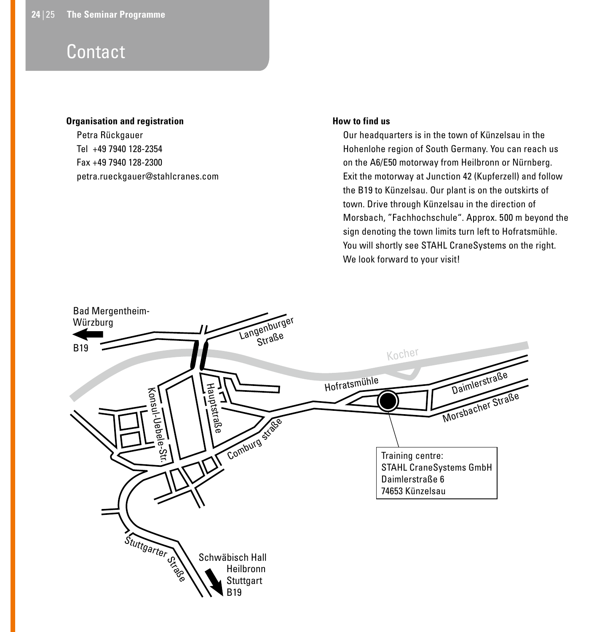### **Contact**

#### **Organisation and registration**

Petra Rückgauer Tel +49 7940 128-2354 Fax +49 7940 128-2300 petra.rueckgauer@stahlcranes.com

#### **How to find us**

Our headquarters is in the town of Künzelsau in the Hohenlohe region of South Germany. You can reach us on the A6/E50 motorway from Heilbronn or Nürnberg. Exit the motorway at Junction 42 (Kupferzell) and follow the B19 to Künzelsau. Our plant is on the outskirts of town. Drive through Künzelsau in the direction of Morsbach, "Fachhochschule". Approx. 500 m beyond the sign denoting the town limits turn left to Hofratsmühle. You will shortly see STAHL CraneSystems on the right. We look forward to your visit!

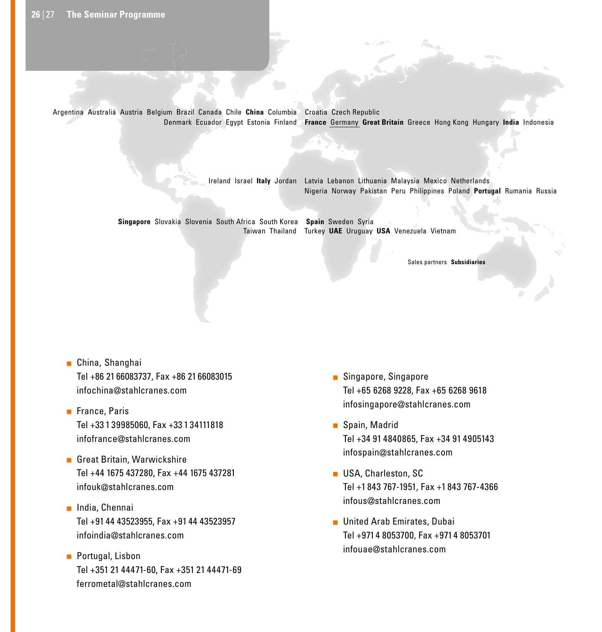Argentina Australia Austria Belgium Brazil Canada Chile **China** Columbia Croatia Czech Republic Denmark Ecuador Egypt Estonia Finland **France** Germany **Great Britain** Greece Hong Kong Hungary **India** Indonesia

Ireland Israel **Italy** Jordan Latvia Lebanon Lithuania Malaysia Mexico Netherlands Nigeria Norway Pakistan Peru Philippines Poland **Portugal** Rumania Russia

Taiwan Thailand Turkey **UAE** Uruguay **USA** Venezuela Vietnam **Singapore** Slovakia Slovenia South Africa South Korea **Spain** Sweden Syria

Sales partners **Subsidiaries**

- **infochina@stahlcranes.com China** Columbia Croatia Cyprus Czech Republic Denmark Ecuador Egypt Estonia Finland **France Germany Great Britain** Greece Hongkong Hungary **India** ■ China, Shanghai Tel +86 21 66083737, Fax +86 21 66083015
- **Indonesia I**rance, Paris Libya Lithuania Malaysia Mexico Netherlands Norway Pakistan Peru Poland **Portugal** Romania Russia **Singapore** Slovakia Slovenia South Afrika **Spain** Tel +33 1 39985060, Fax +33 1 34111818 **infofrance@stahlcranes.com**
- **Vertriebspartner Tochter Tochter Tochter Tochter Tochter Tochter Tochter Tochter Tochter Tochter Tochter Tochte**  Tel +44 1675 437280, Fax +44 1675 437281 infouk@stahlcranes.com
	- **India, Chennai**  Tel +91 44 43523955, Fax +91 44 43523957 infoindia@stahlcranes.com
	- **Portugal, Lisbon**  Tel +351 21 44471-60, Fax +351 21 44471-69 ferrometal@stahlcranes.com
- Singapore, Singapore Tel +65 6268 9228, Fax +65 6268 9618 infosingapore@stahlcranes.com
- Spain, Madrid Tel +34 91 4840865, Fax +34 91 4905143 infospain@stahlcranes.com
- **USA, Charleston, SC**  Tel +1 843 767-1951, Fax +1 843 767-4366 infous@stahlcranes.com
- **United Arab Emirates, Dubai**  Tel +971 4 8053700, Fax +971 4 8053701 infouae@stahlcranes.com